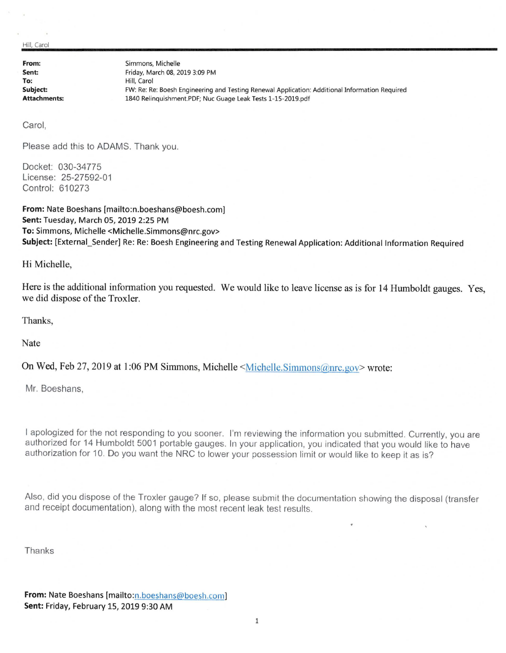Hill, Carol

**From: Sent: To: Subject: Attachments:**  Simmons, Michelle Friday, March 08, 2019 3:09 PM Hill, Carol FW: Re: Re: Boesh Engineering and Testing Renewal Application: Additional Information Required 1840 Relinquishment.PDF; Nuc Guage Leak Tests 1-15-2019.pdf

Carol,

Please add this to ADAMS. Thank you.

Docket: 030-34775 License: 25-27592-01 Control: 610273

**From:** Nate Boeshans [mailto:n.boeshans@boesh.com] **Sent:** Tuesday, March 05, 2019 2:25 PM **To:** Simmons, Michelle <Michelle.Simmons@nrc.gov> Subject: [External Sender] Re: Re: Boesh Engineering and Testing Renewal Application: Additional Information Required

Hi Michelle,

Here is the additional information you requested. We would like to leave license as is for 14 Humboldt gauges. Yes, we did dispose of the Troxler.

Thanks,

Nate

On Wed, Feb 27, 2019 at 1:06 PM Simmons, Michelle <Michelle.Simmons@nrc.gov> wrote:

Mr. Boeshans,

I apologized for the not responding to you sooner. I'm reviewing the information you submitted. Currently, you are authorized for 14 Humboldt 5001 portable gauges. In your application, you indicated that you would like to have authorization for 10. Do you want the NRC to lower your possession limit or would like to keep it as is?

Also, did you dispose of the Troxler gauge? If so, please submit the documentation showing the disposal (transfer and receipt documentation), along with the most recent leak test results.

Thanks

**From:** Nate Boeshans [mailto:n.boeshans@boesh.com] **Sent:** Friday, February 15, 2019 9:30 AM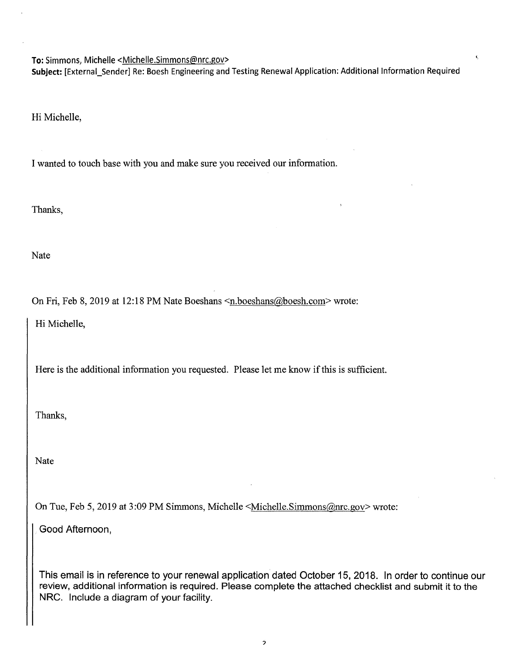To: Simmons, Michelle <Michelle.Simmons@nrc.gov>

**Subject:** [External\_Sender] Re: Boesh Engineering and Testing Renewal Application: Additional Information Required

Hi Michelle,

I wanted to touch base with you and make sure you received our information.

Thanks,

Nate

On Fri, Feb 8, 2019 at 12:18 PM Nate Boeshans <n.boeshans@boesh.com> wrote:

Hi Michelle,

Here is the additional information you requested. Please let me know if this is sufficient.

Thanks,

Nate

On Tue, Feb 5, 2019 at 3:09 PM Simmons, Michelle <Michelle.Simmons@nrc.gov> wrote:

Good Afternoon,

This email is in reference to your renewal application dated October 15, 2018. In order to continue our review, additional information is required. Please complete the attached checklist and submit it to the NRC. Include a diagram of your facility.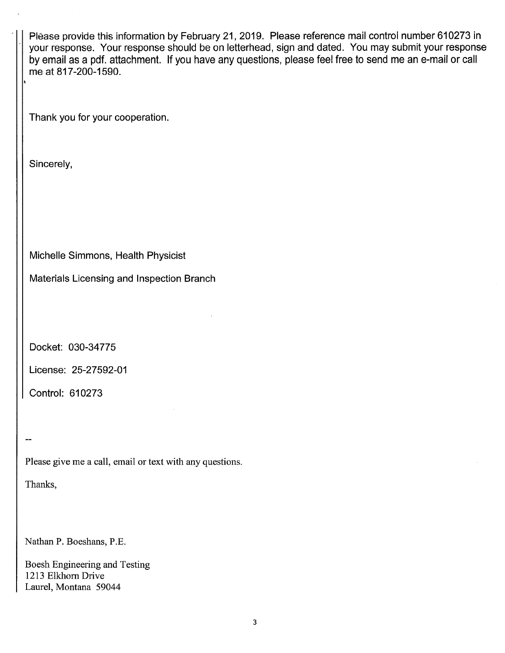Please provide this information by February 21, 2019. Please reference mail control number 610273 in your response. Your response should be on letterhead, sign and dated. You may submit your response by email as a pdf. attachment. If you have any questions, please feel free to send me an e-mail or call me at 817-200-1590. Thank you for your cooperation. Sincerely, Michelle Simmons, Health Physicist Materials Licensing and Inspection Branch Docket: 030-34775 License: 25-27592-01 Control: 610273 ... Please give me a call, email or text with any questions. Thanks, Nathan P. Boeshans, P.E. Boesh Engineering and Testing

1213 Elkhorn Drive Laurel, Montana 59044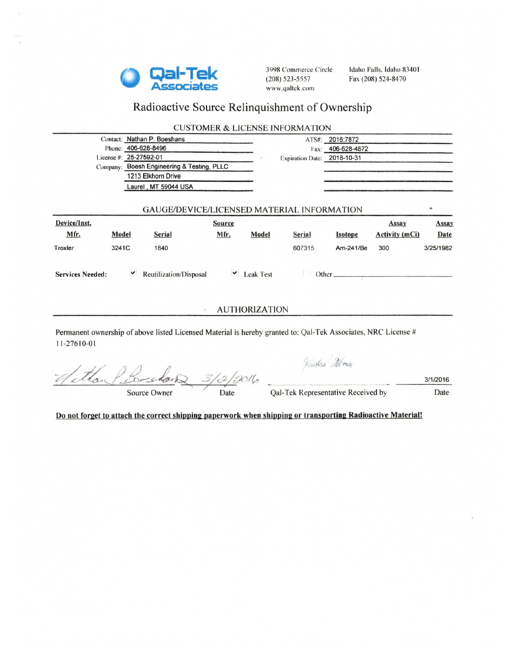

3998 Commerce Circle (208) 523-5557 www.qaltck.com

Idaho Falls, Idaho 83401 Fax (208) 524-8470

# Radioactive Source Relinquishment of Ownership

|                         |       | Contact: Nathan P. Boeshans                                                                                   |                                                   |                      |                             | ATS#: 2016:7872                    |                       |                  |
|-------------------------|-------|---------------------------------------------------------------------------------------------------------------|---------------------------------------------------|----------------------|-----------------------------|------------------------------------|-----------------------|------------------|
|                         |       | Phone: 406-628-8496                                                                                           |                                                   |                      |                             | Fax: 406-628-4872                  |                       |                  |
|                         |       | License #: 25-27592-01                                                                                        |                                                   |                      | Expiration Date: 2018-10-31 |                                    |                       |                  |
|                         |       | Company: Boesh Engineering & Testing, PLLC                                                                    |                                                   |                      |                             |                                    |                       |                  |
|                         |       | 1213 Elkhorn Drive                                                                                            |                                                   |                      |                             |                                    |                       |                  |
|                         |       | Laurel, MT 59044 USA                                                                                          |                                                   |                      |                             |                                    |                       |                  |
|                         |       |                                                                                                               | <b>GAUGE/DEVICE/LICENSED MATERIAL INFORMATION</b> |                      |                             |                                    |                       |                  |
| Device/Inst.            |       |                                                                                                               | <b>Source</b>                                     |                      |                             |                                    | Assay                 | Assay            |
| Mfr.                    | Model | Serial                                                                                                        | Mfr.                                              | Model                | Serial                      | <i>sotope</i>                      | <b>Activity (mCi)</b> | Date             |
| Troxler                 | 3241C | 1840                                                                                                          |                                                   |                      | 607315                      | Am-241/Be                          | 300                   | 3/25/1982        |
|                         |       | Reutilization/Disposal                                                                                        |                                                   | $\vee$ Leak Test     |                             | Other                              |                       |                  |
| <b>Services Needed:</b> |       |                                                                                                               |                                                   |                      |                             |                                    |                       |                  |
|                         |       |                                                                                                               | ž.                                                | <b>AUTHORIZATION</b> |                             |                                    |                       |                  |
| 11-27610-01             |       | Permanent ownership of above listed Licensed Material is hereby granted to: Qal-Tek Associates, NRC License # |                                                   |                      |                             |                                    |                       |                  |
|                         |       | Source Owner                                                                                                  | 3/2/3016<br>Date                                  |                      | .<br>Window Alver           | Qal-Tek Representative Received by |                       | 3/1/2016<br>Date |

Do not forget to attach the correct shipping paperwork when shipping or transporting Radioactive Material!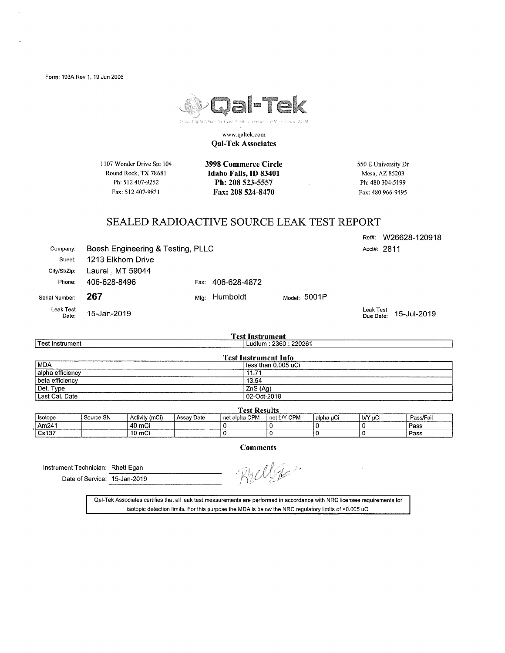

www .qaltck.com **Qal-Tek Associates** 

1107 Wonder Drive Ste 104 Round Rock, TX 78681 Ph: 512 407-9252 Fax: 512 407-9831

**3998 Commerce Circle Idaho Falls,** ID **83401 Ph: 208 523-5557 Fax: 208 524-8470** 

550 E University Dr Mesa, AZ 85203 Ph: 480 304-5199 Fax: 480 966-9495

Reffl: VV26628-120918

#### SEALED RADIOACTIVE SOURCE LEAK TEST REPORT

| Company:           |                    | Boesh Engineering & Testing, PLLC |                   |  |                |           | Acct#: 2811              |
|--------------------|--------------------|-----------------------------------|-------------------|--|----------------|-----------|--------------------------|
| Street:            | 1213 Elkhorn Drive |                                   |                   |  |                |           |                          |
| City/St/Zip:       | Laurel , MT 59044  |                                   |                   |  |                |           |                          |
| Phone:             | 406-628-8496       |                                   | Fax: 406-628-4872 |  |                |           |                          |
| Serial Number:     | 267                | Mfa:                              | Humboldt          |  | Model: $5001P$ |           |                          |
| Leak Test<br>Date: | 15-Jan-2019        |                                   |                   |  |                | Leak Test | Due Date: $15$ -Jul-2019 |

| <b>Test Instrument</b>      |                        |  |  |  |  |  |  |
|-----------------------------|------------------------|--|--|--|--|--|--|
| <b>Test Instrument</b>      | Ludlum : 2360 : 220261 |  |  |  |  |  |  |
| <b>Test Instrument Info</b> |                        |  |  |  |  |  |  |
| <b>MDA</b>                  | l less than 0.005 uCi  |  |  |  |  |  |  |
| alpha efficiency            | 11.71                  |  |  |  |  |  |  |
| beta efficiency             | 13.54                  |  |  |  |  |  |  |
| Det. Type                   | ZnS(Aq)                |  |  |  |  |  |  |
| Last Cal. Date              | 02-Oct-2018            |  |  |  |  |  |  |

| <b>Test Results</b> |           |                                                                                                                               |            |               |               |             |         |           |  |  |
|---------------------|-----------|-------------------------------------------------------------------------------------------------------------------------------|------------|---------------|---------------|-------------|---------|-----------|--|--|
| Isotope             | Source SN | Activity (mCi)                                                                                                                | Assay Date | net alpha CPM | I net b/Y CPM | ' alpha ⊔Ci | b/Y uCi | Pass/Fail |  |  |
| Am241               |           | 40 mCi                                                                                                                        |            |               |               |             |         | Pass      |  |  |
| Cs137               |           | 10 mCi<br>and the contract of the contract of the contract of the contract of the contract of the contract of the contract of |            |               |               |             |         | Pass      |  |  |

**Comments** 

Instrument Technician: Rhett Egan ------------- Date of Service: 15-Jan-2019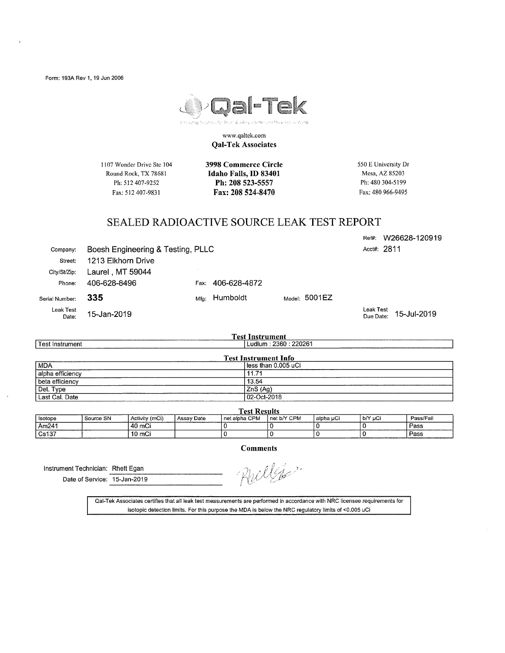

www.qaltek.eom **Qal-Tek Associates** 

1107 Wonder Drive Ste 104 Round Rock, TX 78681 Ph: 512 407-9252 Fax: 512 407-9831

**3998 Commerce Circle Idaho Falls,** ID **83401 Ph: 208 523-5557 Fax: 208 524-8470** 

550 E University Dr Mesa, AZ 85203 Ph: 480 304-5199 Fax: 480 966-9495

#### SEALED RADIOACTIVE SOURCE LEAK TEST REPORT

company: Boesh Engineering & Testing, PLLC Street: 1213 Elkhorn Drive City/St/Zip: Laurel , MT 59044 Phone: 406-628-8496 Fax: 406-628-4872 Serial Number: 335 **Mig:** Humboldt Model: 5001 EZ Leak Test Date: 15-Jan-2019 Acct#: 2811 Leak Test Due Date:

Test Instrument MDA alpha efficiency beta efficiency Del. Type Last Cal. Date **Test Instrument**<br>| Ludlum : 2360 : 220261 **Test Instrument Info**  less than 0.005 uCi 11.71 13.54 ZnS (Ag) 02-0ct-2018

| <b>Test Results</b> |           |                |                   |                 |             |           |         |           |  |  |
|---------------------|-----------|----------------|-------------------|-----------------|-------------|-----------|---------|-----------|--|--|
| l Isotope           | Source SN | Activity (mCi) | <b>Assay Date</b> | I net alpha CPM | net b/Y CPM | alpha uCi | b/Y µCi | Pass/Fail |  |  |
| l Am241             |           | 40 mCi         |                   |                 |             |           |         | Pass      |  |  |
| Cs137               |           | 10 mCi         |                   |                 |             |           |         | Pass      |  |  |

**Comments** 

Instrument Technician: Rhett Egan<br>Date of Service: 15-Jan-2019

Rulles.

Qal-Tek Associates certifies that all leak test measurements are performed in accordance with NRC licensee requirements for isotopic detection limits. For this purpose the MDA is below the NRC regulatory limits of <0.005 uCi

Ref#: W26628-120919

15-Jul-2019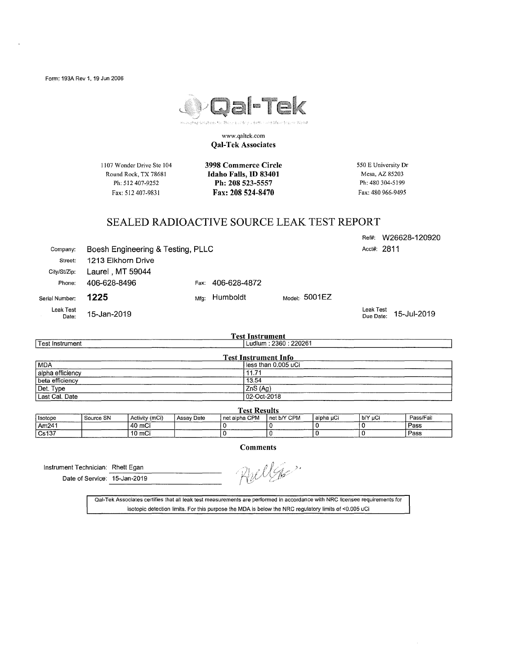

www.qaltek.com **Qal-Tek Associates** 

1107 Wonder Drive Ste 104 Round Rock, TX 78681 Ph: 512 407-9252 Fax: 512 407-983 I

**3998 Commerce Circle Idaho Falls,** ID **83401 Ph: 208 523-5557 Fax: 208 524-8470** 

550 E University Dr Mesa, AZ 85203 Ph: 480 304-5199 Fax: 480 966-9495

Ref#: W26628-120920

### SEALED RADIOACTIVE SOURCE LEAK TEST REPORT

| Company:           |                    | Boesh Engineering & Testing, PLLC |              |  |                                     |                        | Acct#: 2811 |
|--------------------|--------------------|-----------------------------------|--------------|--|-------------------------------------|------------------------|-------------|
| Street:            | 1213 Elkhorn Drive |                                   |              |  |                                     |                        |             |
| City/St/Zip:       | Laurel, MT 59044   |                                   |              |  |                                     |                        |             |
| Phone:             | 406-628-8496       | Fax:                              | 406-628-4872 |  |                                     |                        |             |
| Serial Number:     | 1225               | Mfa:                              | Humboldt     |  | $_{\textsf{Model}:}5001\textsf{EZ}$ |                        |             |
| Leak Test<br>Date: | 15-Jan-2019        |                                   |              |  |                                     | Leak Test<br>Due Date: | 15-Jul-2019 |

| <b>Test Instrument</b>      |                        |  |  |  |  |  |
|-----------------------------|------------------------|--|--|--|--|--|
| Test Instrument             | Ludlum : 2360 : 220261 |  |  |  |  |  |
| <b>Test Instrument Info</b> |                        |  |  |  |  |  |
| MDA                         | l less than 0.005 uCi  |  |  |  |  |  |
| alpha efficiency            | 11.71                  |  |  |  |  |  |
| beta efficiency             | 13.54                  |  |  |  |  |  |
| Det. Type                   | ZnS (Ag)               |  |  |  |  |  |
| Last Cal. Date              | 02-Oct-2018            |  |  |  |  |  |

| <b>Test Results</b>                  |           |                |            |                 |             |           |         |           |  |
|--------------------------------------|-----------|----------------|------------|-----------------|-------------|-----------|---------|-----------|--|
| Isotope                              | Source SN | Activity (mCi) | Assay Date | I net alpha CPM | net b/Y CPM | alpha uCi | b/Y uCi | Pass/Fail |  |
| Am241                                |           | 40 mCi         |            |                 |             |           |         | Pass      |  |
| $\sqrt{Cs137}$<br><b>Lawyer 2005</b> |           | 10 mCi         |            |                 |             |           |         | Pass      |  |

**Comments** 

Instrument Technician: Rhett Egan *() and the Service: 15-Jan-2019 () Determines i Determines () Determines i B*<sub>2</sub> *J*<sub>2</sub> *() Determines i B<sub>2</sub> <i>J*<sub>2</sub> *Determines i Determines i B*<sub>2</sub> *J*<sub>2</sub> *D*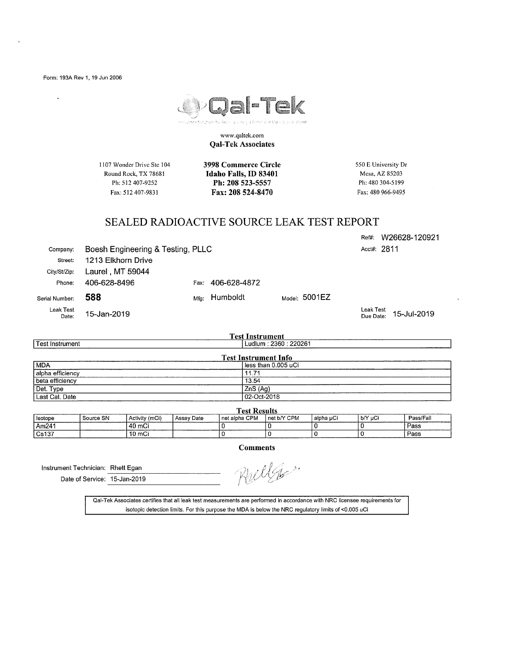l,



www .qaltck.com **Qal-Tek Associates** 

1107 Wonder Drive Ste 104 Round Rock, TX 78681 Ph: 512 407-9252 Fax: 512 407-9831

**3998 Commerce Circle Idaho Falls,** ID **83401 Ph: 208 523-5557 Fax: 208 524-8470** 

550 E University Dr Mesa, AZ 85203 Ph: 480 304-5199 Fax: 480 966-9495

#### SEALED RADIOACTIVE SOURCE LEAK TEST REPORT

Ref#: W26628-120921 Acct#: 2811

company: Boesh Engineering & Testing, PLLC Street: 1213 Elkhorn Drive City/St/Zip: Laurel , MT 59044 Phone: 406-628-8496 Fax: 406-628-4872 Serial Number: **588** Mfg: Humboldt Model: 5001 EZ

15-Jan-2019

Leak Test Date:

Leak Test Due Date: 15-Jul-2019

| <b>Test Instrument</b>      |                      |  |  |  |  |  |  |
|-----------------------------|----------------------|--|--|--|--|--|--|
| Test Instrument             | Ludlum: 2360: 220261 |  |  |  |  |  |  |
| <b>Test Instrument Info</b> |                      |  |  |  |  |  |  |
| MDA                         | less than 0.005 uCi  |  |  |  |  |  |  |
| alpha efficiency            | 11.71                |  |  |  |  |  |  |
| beta efficiency             | 13.54                |  |  |  |  |  |  |
| Det. Type                   | ZnS(Ag)              |  |  |  |  |  |  |
| Last Cal. Date              | 02-Oct-2018          |  |  |  |  |  |  |

| <b>Test Results</b> |           |                |              |               |               |             |           |           |  |  |
|---------------------|-----------|----------------|--------------|---------------|---------------|-------------|-----------|-----------|--|--|
| I Isotope           | Source SN | Activity (mCi) | l Assav Date | net alpha CPM | I net b/Y CPM | ' alpha uCi | l b/Y uCi | Pass/Fail |  |  |
| l Am241             |           | 40 mCi         |              |               |               |             |           | Pass      |  |  |
| Cs137               |           | 10 mCi         |              |               |               |             |           | Pass      |  |  |

**Comments** 

Instrument Technician: Rhett Egan -------------- Date of Service: 15-Jan-2019

,,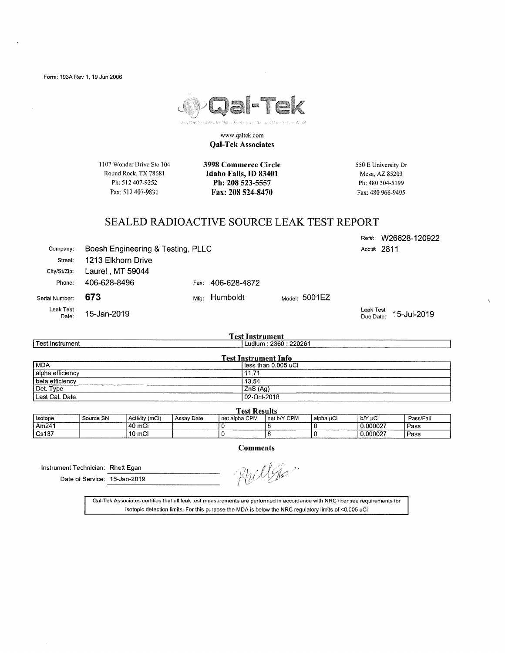

www .qaltck.com **Qal-Tek Associates** 

1107 Wonder Drive Ste 104 Round Rock, TX 78681 Ph: 512 407-9252 Fax: 512 407-9831

Company: Boesh Engineering & Testing, PLLC

**3998 Commerce Circle Idaho Falls,** ID **83401 Ph: 208 523-5557 Fax: 208 524-8470** 

550 E University Dr Mesa, AZ 85203 Ph: 480 304-5199 Fax: 480 966-9495

#### SEALED RADIOACTIVE SOURCE LEAK TEST REPORT

Ref#: W26628-120922 Acct#: 2811

Phone: 406-628-8496 Fax: 406-628-4872 Serial Number: **673 Mig:** Humboldt Model: 5001EZ Leak Test 15-Jan-2019

Street: 1213 Elkhorn Drive City/St/Zip: Laurel, MT 59044

Date:

Last Cal. Date

Leak Test Due Date: 15-Jul-2019

| 1 est instrument            |                          |  |  |  |  |  |
|-----------------------------|--------------------------|--|--|--|--|--|
| l Test Instrument           | i Ludium : 2360 : 220261 |  |  |  |  |  |
| <b>Test Instrument Info</b> |                          |  |  |  |  |  |
| MDA                         | less than 0.005 uCi      |  |  |  |  |  |
| alpha efficiency            | $11.7^{\circ}$           |  |  |  |  |  |
| beta efficiency             | 13.54                    |  |  |  |  |  |
| Det. Type                   | ZnS (Ag)                 |  |  |  |  |  |

**Test Instrument** ! Ludlum : 2360 : 220261

| <b>Fest Results</b> |           |                |            |                 |             |             |           |           |  |  |
|---------------------|-----------|----------------|------------|-----------------|-------------|-------------|-----------|-----------|--|--|
| Isotope             | Source SN | Activity (mCi) | Assay Date | I net alpha CPM | net b/Y CPM | l alpha uCi | l b/Y uCi | Pass/Fail |  |  |
| Am241               |           | 40 mCi         |            |                 |             |             | 0.000027  | Pass      |  |  |
| Cs137               |           | 10 mCi         |            |                 |             |             | 0.000027  | Pass      |  |  |

**Comments** 

02-Oct-2018

Instrument Technician: Rhett Egan

Date of Service: 15-Jan-2019

WG6